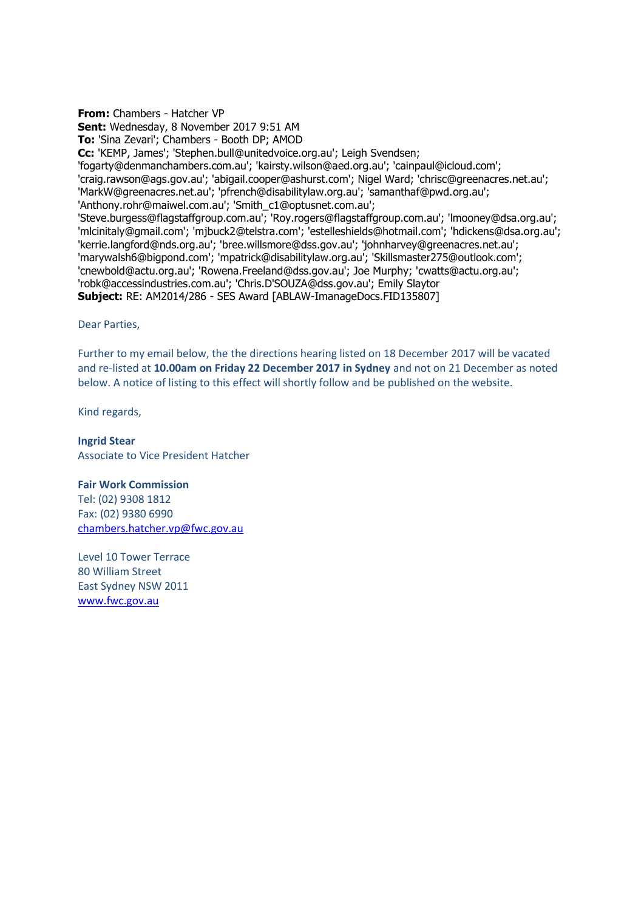**From:** Chambers - Hatcher VP **Sent:** Wednesday, 8 November 2017 9:51 AM **To:** 'Sina Zevari'; Chambers - Booth DP; AMOD **Cc:** 'KEMP, James'; 'Stephen.bull@unitedvoice.org.au'; Leigh Svendsen; 'fogarty@denmanchambers.com.au'; 'kairsty.wilson@aed.org.au'; 'cainpaul@icloud.com'; 'craig.rawson@ags.gov.au'; 'abigail.cooper@ashurst.com'; Nigel Ward; 'chrisc@greenacres.net.au'; 'MarkW@greenacres.net.au'; 'pfrench@disabilitylaw.org.au'; 'samanthaf@pwd.org.au'; 'Anthony.rohr@maiwel.com.au'; 'Smith\_c1@optusnet.com.au'; 'Steve.burgess@flagstaffgroup.com.au'; 'Roy.rogers@flagstaffgroup.com.au'; 'lmooney@dsa.org.au'; 'mlcinitaly@gmail.com'; 'mjbuck2@telstra.com'; 'estelleshields@hotmail.com'; 'hdickens@dsa.org.au'; 'kerrie.langford@nds.org.au'; 'bree.willsmore@dss.gov.au'; 'johnharvey@greenacres.net.au'; 'marywalsh6@bigpond.com'; 'mpatrick@disabilitylaw.org.au'; 'Skillsmaster275@outlook.com'; 'cnewbold@actu.org.au'; 'Rowena.Freeland@dss.gov.au'; Joe Murphy; 'cwatts@actu.org.au'; 'robk@accessindustries.com.au'; 'Chris.D'SOUZA@dss.gov.au'; Emily Slaytor **Subject:** RE: AM2014/286 - SES Award [ABLAW-ImanageDocs.FID135807]

Dear Parties,

Further to my email below, the the directions hearing listed on 18 December 2017 will be vacated and re-listed at **10.00am on Friday 22 December 2017 in Sydney** and not on 21 December as noted below. A notice of listing to this effect will shortly follow and be published on the website.

Kind regards,

**Ingrid Stear** Associate to Vice President Hatcher

## **Fair Work Commission**

Tel: (02) 9308 1812 Fax: (02) 9380 6990 [chambers.hatcher.vp@fwc.gov.au](mailto:chambers.hatcher.vp@fwc.gov.au) 

Level 10 Tower Terrace 80 William Street East Sydney NSW 2011 [www.fwc.gov.au](http://www.fwc.gov.au/)